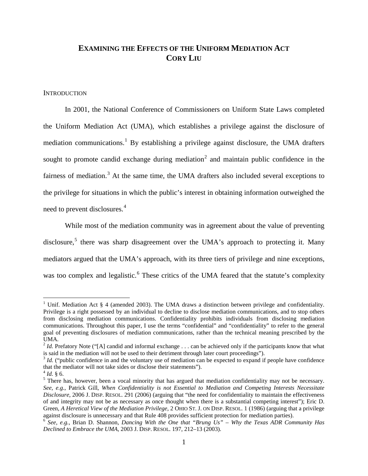# **EXAMINING THE EFFECTS OF THE UNIFORM MEDIATION ACT CORY LIU**

### **INTRODUCTION**

In 2001, the National Conference of Commissioners on Uniform State Laws completed the Uniform Mediation Act (UMA), which establishes a privilege against the disclosure of mediation communications.<sup>[1](#page-0-0)</sup> By establishing a privilege against disclosure, the UMA drafters sought to promote candid exchange during mediation<sup>[2](#page-0-1)</sup> and maintain public confidence in the fairness of mediation.<sup>[3](#page-0-2)</sup> At the same time, the UMA drafters also included several exceptions to the privilege for situations in which the public's interest in obtaining information outweighed the need to prevent disclosures. [4](#page-0-3)

While most of the mediation community was in agreement about the value of preventing disclosure,<sup>[5](#page-0-4)</sup> there was sharp disagreement over the UMA's approach to protecting it. Many mediators argued that the UMA's approach, with its three tiers of privilege and nine exceptions, was too complex and legalistic.<sup>[6](#page-0-5)</sup> These critics of the UMA feared that the statute's complexity

<span id="page-0-0"></span><sup>&</sup>lt;sup>1</sup> Unif. Mediation Act  $\S$  4 (amended 2003). The UMA draws a distinction between privilege and confidentiality. Privilege is a right possessed by an individual to decline to disclose mediation communications, and to stop others from disclosing mediation communications. Confidentiality prohibits individuals from disclosing mediation communications. Throughout this paper, I use the terms "confidential" and "confidentiality" to refer to the general goal of preventing disclosures of mediation communications, rather than the technical meaning prescribed by the UMA.

<span id="page-0-1"></span><sup>&</sup>lt;sup>2</sup> *Id.* Prefatory Note ("[A] candid and informal exchange  $\ldots$  can be achieved only if the participants know that what is said in the mediation will not be used to their detriment through later court proceedings").

<span id="page-0-2"></span> $3$  *Id.* ("public confidence in and the voluntary use of mediation can be expected to expand if people have confidence that the mediator will not take sides or disclose their statements").

<span id="page-0-4"></span>

<span id="page-0-3"></span> $t_1/d$ . § 6.  $t_5$  There has, however, been a vocal minority that has argued that mediation confidentiality may not be necessary. *See, e.g.*, Patrick Gill, *When Confidentiality is not Essential to Mediation and Competing Interests Necessitate Disclosure*, 2006 J. DISP. RESOL. 291 (2006) (arguing that "the need for confidentiality to maintain the effectiveness of and integrity may not be as necessary as once thought when there is a substantial competing interest"); Eric D. Green, *A Heretical View of the Mediation Privilege*, 2 OHIO ST. J. ON DISP. RESOL. 1 (1986) (arguing that a privilege against disclosure is unnecessary and that Rule 408 provides sufficient protection for mediation parties).

<span id="page-0-5"></span><sup>6</sup> *See, e.g.*, Brian D. Shannon, *Dancing With the One that "Brung Us" – Why the Texas ADR Community Has Declined to Embrace the UMA*, 2003 J. DISP. RESOL. 197, 212–13 (2003).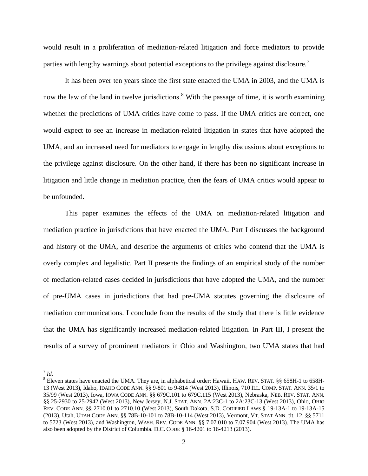would result in a proliferation of mediation-related litigation and force mediators to provide parties with lengthy warnings about potential exceptions to the privilege against disclosure.<sup>[7](#page-1-0)</sup>

It has been over ten years since the first state enacted the UMA in 2003, and the UMA is now the law of the land in twelve jurisdictions.<sup>[8](#page-1-1)</sup> With the passage of time, it is worth examining whether the predictions of UMA critics have come to pass. If the UMA critics are correct, one would expect to see an increase in mediation-related litigation in states that have adopted the UMA, and an increased need for mediators to engage in lengthy discussions about exceptions to the privilege against disclosure. On the other hand, if there has been no significant increase in litigation and little change in mediation practice, then the fears of UMA critics would appear to be unfounded.

This paper examines the effects of the UMA on mediation-related litigation and mediation practice in jurisdictions that have enacted the UMA. Part I discusses the background and history of the UMA, and describe the arguments of critics who contend that the UMA is overly complex and legalistic. Part II presents the findings of an empirical study of the number of mediation-related cases decided in jurisdictions that have adopted the UMA, and the number of pre-UMA cases in jurisdictions that had pre-UMA statutes governing the disclosure of mediation communications. I conclude from the results of the study that there is little evidence that the UMA has significantly increased mediation-related litigation. In Part III, I present the results of a survey of prominent mediators in Ohio and Washington, two UMA states that had

<span id="page-1-0"></span> $^7$  *Id.* 

<span id="page-1-1"></span><sup>8</sup> Eleven states have enacted the UMA. They are, in alphabetical order: Hawaii, HAW. REV. STAT. §§ 658H-1 to 658H-13 (West 2013), Idaho, IDAHO CODE ANN. §§ 9-801 to 9-814 (West 2013), Illinois, 710 ILL. COMP. STAT. ANN. 35/1 to 35/99 (West 2013), Iowa, IOWA CODE ANN. §§ 679C.101 to 679C.115 (West 2013), Nebraska, NEB. REV. STAT. ANN. §§ 25-2930 to 25-2942 (West 2013), New Jersey, N.J. STAT. ANN. 2A:23C-1 to 2A:23C-13 (West 2013), Ohio, OHIO REV. CODE ANN. §§ 2710.01 to 2710.10 (West 2013), South Dakota, S.D. CODIFIED LAWS § 19-13A-1 to 19-13A-15 (2013), Utah, UTAH CODE ANN. §§ 78B-10-101 to 78B-10-114 (West 2013), Vermont, VT. STAT ANN. tit. 12, §§ 5711 to 5723 (West 2013), and Washington, WASH. REV. CODE ANN. §§ 7.07.010 to 7.07.904 (West 2013). The UMA has also been adopted by the District of Columbia. D.C. CODE § 16-4201 to 16-4213 (2013).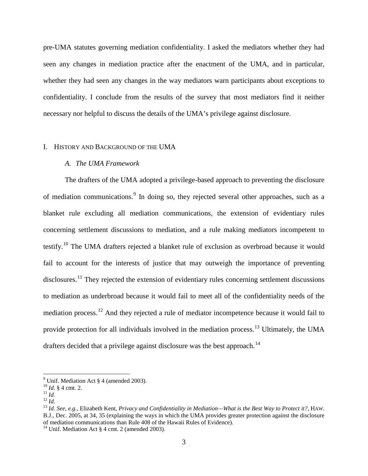pre-UMA statutes governing mediation confidentiality. I asked the mediators whether they had seen any changes in mediation practice after the enactment of the UMA, and in particular, whether they had seen any changes in the way mediators warn participants about exceptions to confidentiality. I conclude from the results of the survey that most mediators find it neither necessary nor helpful to discuss the details of the UMA's privilege against disclosure.

### I. HISTORY AND BACKGROUND OF THE UMA

### *A. The UMA Framework*

The drafters of the UMA adopted a privilege-based approach to preventing the disclosure of mediation communications.<sup>[9](#page-2-0)</sup> In doing so, they rejected several other approaches, such as a blanket rule excluding all mediation communications, the extension of evidentiary rules concerning settlement discussions to mediation, and a rule making mediators incompetent to testify.<sup>[10](#page-2-1)</sup> The UMA drafters rejected a blanket rule of exclusion as overbroad because it would fail to account for the interests of justice that may outweigh the importance of preventing disclosures.<sup>[11](#page-2-2)</sup> They rejected the extension of evidentiary rules concerning settlement discussions to mediation as underbroad because it would fail to meet all of the confidentiality needs of the mediation process.[12](#page-2-3) And they rejected a rule of mediator incompetence because it would fail to provide protection for all individuals involved in the mediation process.<sup>[13](#page-2-4)</sup> Ultimately, the UMA drafters decided that a privilege against disclosure was the best approach.<sup>[14](#page-2-5)</sup>

<span id="page-2-2"></span>

<span id="page-2-4"></span><span id="page-2-3"></span>

<span id="page-2-1"></span><span id="page-2-0"></span><sup>&</sup>lt;sup>9</sup> Unif. Mediation Act § 4 (amended 2003).<br><sup>10</sup> *Id.* § 4 cmt. 2.<br><sup>11</sup> *Id.*<br><sup>12</sup> *Id.*<br><sup>13</sup> *Id.* See, e.g., Elizabeth Kent, Privacy and Confidentiality in Mediation—What is the Best Way to Protect it?, HAW. B.J., Dec. 2005, at 34, 35 (explaining the ways in which the UMA provides greater protection against the disclosure of mediation communications than Rule 408 of the Hawaii Rules of Evidence).

<span id="page-2-5"></span><sup>&</sup>lt;sup>14</sup> Unif. Mediation Act  $\S$  4 cmt. 2 (amended 2003).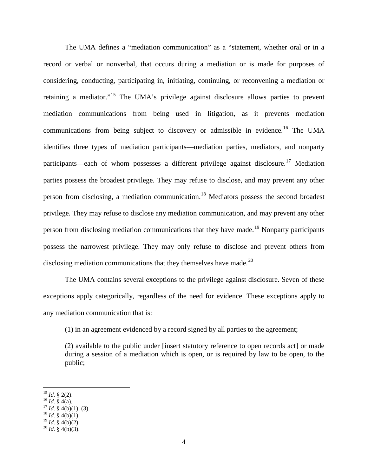The UMA defines a "mediation communication" as a "statement, whether oral or in a record or verbal or nonverbal, that occurs during a mediation or is made for purposes of considering, conducting, participating in, initiating, continuing, or reconvening a mediation or retaining a mediator."[15](#page-3-0) The UMA's privilege against disclosure allows parties to prevent mediation communications from being used in litigation, as it prevents mediation communications from being subject to discovery or admissible in evidence.<sup>[16](#page-3-1)</sup> The UMA identifies three types of mediation participants—mediation parties, mediators, and nonparty participants—each of whom possesses a different privilege against disclosure.<sup>[17](#page-3-2)</sup> Mediation parties possess the broadest privilege. They may refuse to disclose, and may prevent any other person from disclosing, a mediation communication.<sup>[18](#page-3-3)</sup> Mediators possess the second broadest privilege. They may refuse to disclose any mediation communication, and may prevent any other person from disclosing mediation communications that they have made.<sup>[19](#page-3-4)</sup> Nonparty participants possess the narrowest privilege. They may only refuse to disclose and prevent others from disclosing mediation communications that they themselves have made.<sup>[20](#page-3-5)</sup>

The UMA contains several exceptions to the privilege against disclosure. Seven of these exceptions apply categorically, regardless of the need for evidence. These exceptions apply to any mediation communication that is:

(1) in an agreement evidenced by a record signed by all parties to the agreement;

(2) available to the public under [insert statutory reference to open records act] or made during a session of a mediation which is open, or is required by law to be open, to the public;

<span id="page-3-2"></span><span id="page-3-1"></span>

<span id="page-3-0"></span><sup>&</sup>lt;sup>15</sup> *Id.* § 2(2).<br><sup>16</sup> *Id.* § 4(a).<br><sup>17</sup> *Id.* § 4(b)(1)–(3).<br><sup>18</sup> *Id.* § 4(b)(1).<br><sup>19</sup> *Id.* § 4(b)(2).

<span id="page-3-4"></span><span id="page-3-3"></span>

<span id="page-3-5"></span> $^{20}$  *Id.* § 4(b)(3).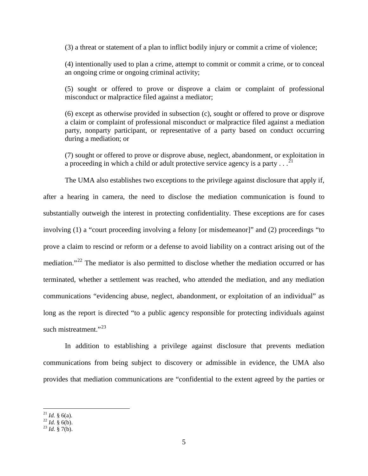(3) a threat or statement of a plan to inflict bodily injury or commit a crime of violence;

(4) intentionally used to plan a crime, attempt to commit or commit a crime, or to conceal an ongoing crime or ongoing criminal activity;

(5) sought or offered to prove or disprove a claim or complaint of professional misconduct or malpractice filed against a mediator;

(6) except as otherwise provided in subsection (c), sought or offered to prove or disprove a claim or complaint of professional misconduct or malpractice filed against a mediation party, nonparty participant, or representative of a party based on conduct occurring during a mediation; or

(7) sought or offered to prove or disprove abuse, neglect, abandonment, or exploitation in a proceeding in which a child or adult protective service agency is a party  $\ldots$ <sup>[21](#page-4-0)</sup>

The UMA also establishes two exceptions to the privilege against disclosure that apply if, after a hearing in camera, the need to disclose the mediation communication is found to substantially outweigh the interest in protecting confidentiality. These exceptions are for cases involving (1) a "court proceeding involving a felony [or misdemeanor]" and (2) proceedings "to prove a claim to rescind or reform or a defense to avoid liability on a contract arising out of the mediation."<sup>[22](#page-4-1)</sup> The mediator is also permitted to disclose whether the mediation occurred or has terminated, whether a settlement was reached, who attended the mediation, and any mediation communications "evidencing abuse, neglect, abandonment, or exploitation of an individual" as long as the report is directed "to a public agency responsible for protecting individuals against such mistreatment."<sup>[23](#page-4-2)</sup>

In addition to establishing a privilege against disclosure that prevents mediation communications from being subject to discovery or admissible in evidence, the UMA also provides that mediation communications are "confidential to the extent agreed by the parties or

<span id="page-4-1"></span><span id="page-4-0"></span><sup>&</sup>lt;sup>21</sup> *Id.* § 6(a).<br><sup>22</sup> *Id.* § 6(b).<br><sup>23</sup> *Id.* § 7(b).

<span id="page-4-2"></span>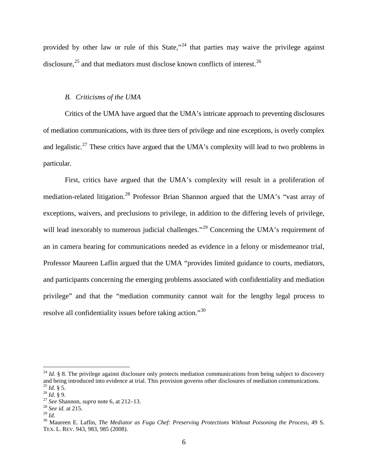provided by other law or rule of this State,"<sup>[24](#page-5-0)</sup> that parties may waive the privilege against disclosure,<sup>[25](#page-5-1)</sup> and that mediators must disclose known conflicts of interest.<sup>[26](#page-5-2)</sup>

# *B. Criticisms of the UMA*

Critics of the UMA have argued that the UMA's intricate approach to preventing disclosures of mediation communications, with its three tiers of privilege and nine exceptions, is overly complex and legalistic.<sup>[27](#page-5-3)</sup> These critics have argued that the UMA's complexity will lead to two problems in particular.

First, critics have argued that the UMA's complexity will result in a proliferation of mediation-related litigation.<sup>[28](#page-5-4)</sup> Professor Brian Shannon argued that the UMA's "vast array of exceptions, waivers, and preclusions to privilege, in addition to the differing levels of privilege, will lead inexorably to numerous judicial challenges."<sup>[29](#page-5-5)</sup> Concerning the UMA's requirement of an in camera hearing for communications needed as evidence in a felony or misdemeanor trial, Professor Maureen Laflin argued that the UMA "provides limited guidance to courts, mediators, and participants concerning the emerging problems associated with confidentiality and mediation privilege" and that the "mediation community cannot wait for the lengthy legal process to resolve all confidentiality issues before taking action."[30](#page-5-6)

<span id="page-5-0"></span> $^{24}$  *Id.* § 8. The privilege against disclosure only protects mediation communications from being subject to discovery and being introduced into evidence at trial. This provision governs other disclosures of mediation communications.<br><sup>25</sup> *Id.* § 5.<br><sup>26</sup> *Id.* § 9.<br><sup>27</sup> *See* Shannon, *supra* note 6, at 212–13.<br><sup>28</sup> *See id.* at 215.<br><sup>28</sup>

<span id="page-5-2"></span><span id="page-5-1"></span>

<span id="page-5-3"></span>

<span id="page-5-4"></span>

<span id="page-5-6"></span><span id="page-5-5"></span><sup>&</sup>lt;sup>30</sup> Maureen E. Laflin, *The Mediator as Fugu Chef: Preserving Protections Without Poisoning the Process*, 49 S. TEX. L. REV. 943, 983, 985 (2008).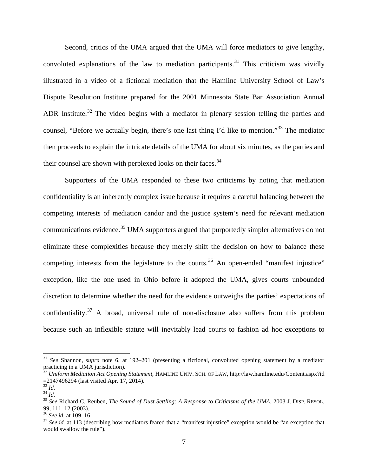Second, critics of the UMA argued that the UMA will force mediators to give lengthy, convoluted explanations of the law to mediation participants. [31](#page-6-0) This criticism was vividly illustrated in a video of a fictional mediation that the Hamline University School of Law's Dispute Resolution Institute prepared for the 2001 Minnesota State Bar Association Annual ADR Institute.<sup>[32](#page-6-1)</sup> The video begins with a mediator in plenary session telling the parties and counsel, "Before we actually begin, there's one last thing I'd like to mention."[33](#page-6-2) The mediator then proceeds to explain the intricate details of the UMA for about six minutes, as the parties and their counsel are shown with perplexed looks on their faces.  $34$ 

Supporters of the UMA responded to these two criticisms by noting that mediation confidentiality is an inherently complex issue because it requires a careful balancing between the competing interests of mediation candor and the justice system's need for relevant mediation communications evidence.<sup>[35](#page-6-4)</sup> UMA supporters argued that purportedly simpler alternatives do not eliminate these complexities because they merely shift the decision on how to balance these competing interests from the legislature to the courts.<sup>[36](#page-6-5)</sup> An open-ended "manifest injustice" exception, like the one used in Ohio before it adopted the UMA, gives courts unbounded discretion to determine whether the need for the evidence outweighs the parties' expectations of confidentiality.<sup>[37](#page-6-6)</sup> A broad, universal rule of non-disclosure also suffers from this problem because such an inflexible statute will inevitably lead courts to fashion ad hoc exceptions to

<span id="page-6-0"></span> <sup>31</sup> *See* Shannon, *supra* note 6, at 192–201 (presenting a fictional, convoluted opening statement by a mediator practicing in a UMA jurisdiction).

<span id="page-6-1"></span><sup>&</sup>lt;sup>32</sup> *Uniform Mediation Act Opening Statement*, HAMLINE UNIV. SCH. OF LAW, http://law.hamline.edu/Content.aspx?id<br>=2147496294 (last visited Apr. 17, 2014).

<span id="page-6-4"></span>

<span id="page-6-3"></span><span id="page-6-2"></span><sup>&</sup>lt;sup>33</sup> *Id.* <sup>34</sup> *Id.* <sup>34</sup> *Id.* 34 *Id.* 34 *Id.* 35 *See* Richard C. Reuben, *The Sound of Dust Settling: A Response to Criticisms of the UMA*, 2003 J. DISP. RESOL. **39**, 111–12 (2003).

<span id="page-6-6"></span><span id="page-6-5"></span><sup>&</sup>lt;sup>36</sup> See id. at 109–16.<br><sup>37</sup> See id. at 113 (describing how mediators feared that a "manifest injustice" exception would be "an exception that would swallow the rule").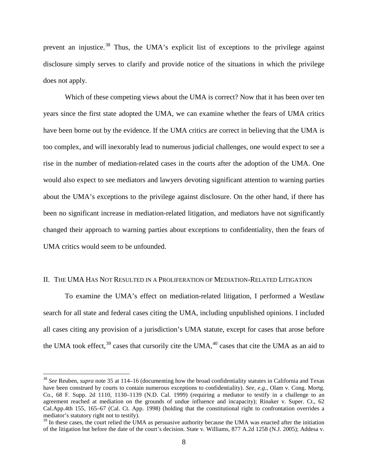prevent an injustice.<sup>[38](#page-7-0)</sup> Thus, the UMA's explicit list of exceptions to the privilege against disclosure simply serves to clarify and provide notice of the situations in which the privilege does not apply.

Which of these competing views about the UMA is correct? Now that it has been over ten years since the first state adopted the UMA, we can examine whether the fears of UMA critics have been borne out by the evidence. If the UMA critics are correct in believing that the UMA is too complex, and will inexorably lead to numerous judicial challenges, one would expect to see a rise in the number of mediation-related cases in the courts after the adoption of the UMA. One would also expect to see mediators and lawyers devoting significant attention to warning parties about the UMA's exceptions to the privilege against disclosure. On the other hand, if there has been no significant increase in mediation-related litigation, and mediators have not significantly changed their approach to warning parties about exceptions to confidentiality, then the fears of UMA critics would seem to be unfounded.

### II. THE UMA HAS NOT RESULTED IN A PROLIFERATION OF MEDIATION-RELATED LITIGATION

<span id="page-7-2"></span>To examine the UMA's effect on mediation-related litigation, I performed a Westlaw search for all state and federal cases citing the UMA, including unpublished opinions. I included all cases citing any provision of a jurisdiction's UMA statute, except for cases that arose before the UMA took effect,  $39$  cases that cursorily cite the UMA,  $40$  cases that cite the UMA as an aid to

<span id="page-7-0"></span> <sup>38</sup> *See* Reuben, *supra* note 35 at 114–16 (documenting how the broad confidentiality statutes in California and Texas have been construed by courts to contain numerous exceptions to confidentiality). *See, e.g.*, Olam v. Cong. Mortg. Co., 68 F. Supp. 2d 1110, 1130–1139 (N.D. Cal. 1999) (requiring a mediator to testify in a challenge to an agreement reached at mediation on the grounds of undue influence and incapacity); Rinaker v. Super. Ct., 62 Cal.App.4th 155, 165–67 (Cal. Ct. App. 1998) (holding that the constitutional right to confrontation overrides a mediator's statutory right not to testify).

<span id="page-7-1"></span><sup>&</sup>lt;sup>39</sup> In these cases, the court relied the UMA as persuasive authority because the UMA was enacted after the initiation of the litigation but before the date of the court's decision. State v. Williams, 877 A.2d 1258 (N.J. 2005); Addesa v.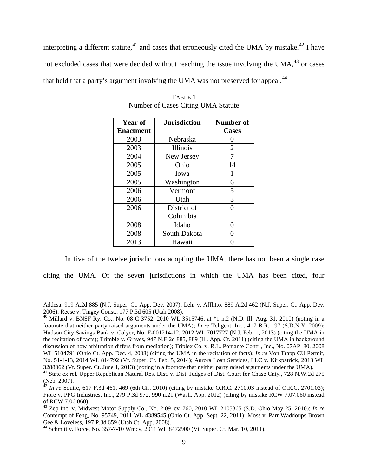interpreting a different statute,  $41$  and cases that erroneously cited the UMA by mistake.  $42$  I have not excluded cases that were decided without reaching the issue involving the UMA, $^{43}$  $^{43}$  $^{43}$  or cases that held that a party's argument involving the UMA was not preserved for appeal.<sup>[44](#page-8-3)</sup>

| <b>Year of</b>   | <b>Jurisdiction</b> | <b>Number of</b> |
|------------------|---------------------|------------------|
| <b>Enactment</b> |                     | <b>Cases</b>     |
| 2003             | Nebraska            | 0                |
| 2003             | Illinois            | 2                |
| 2004             | New Jersey          | 7                |
| 2005             | Ohio                | 14               |
| 2005             | Iowa                | 1                |
| 2005             | Washington          | 6                |
| 2006             | Vermont             | 5                |
| 2006             | Utah                | 3                |
| 2006             | District of         | O                |
|                  | Columbia            |                  |
| 2008             | Idaho               | 0                |
| 2008             | South Dakota        |                  |
| 2013             | Hawaii              |                  |

TABLE 1 Number of Cases Citing UMA Statute

In five of the twelve jurisdictions adopting the UMA, there has not been a single case

citing the UMA. Of the seven jurisdictions in which the UMA has been cited, four

 $\overline{a}$ 

Addesa, 919 A.2d 885 (N.J. Super. Ct. App. Dev. 2007); Lehr v. Afflitto, 889 A.2d 462 (N.J. Super. Ct. App. Dev. 2006); Reese v. Tingey Const., 177 P.3d 605 (Utah 2008). <sup>40</sup> Millard v. BNSF Ry. Co., No. 08 C 3752, 2010 WL 3515746, at \*1 n.2 (N.D. Ill. Aug. 31, 2010) (noting in a

footnote that neither party raised arguments under the UMA); *In re* Teligent, Inc., 417 B.R. 197 (S.D.N.Y. 2009); Hudson City Savings Bank v. Colyer, No. F-001214-12, 2012 WL 7017727 (N.J. Feb. 1, 2013) (citing the UMA in the recitation of facts); Trimble v. Graves, 947 N.E.2d 885, 889 (Ill. App. Ct. 2011) (citing the UMA in background discussion of how arbitration differs from mediation); Triplex Co. v. R.L. Pomante Contr., Inc., No. 07AP–80, 2008 WL 5104791 (Ohio Ct. App. Dec. 4, 2008) (citing the UMA in the recitation of facts); *In re* Von Trapp CU Permit, No. 51-4-13, 2014 WL 814792 (Vt. Super. Ct. Feb. 5, 2014); Aurora Loan Services, LLC v. Kirkpatrick, 2013 WL 3288062 (Vt. Super. Ct. June 1, 2013) (noting in a footnote that neither party raised arguments under the UMA).<br><sup>41</sup> State ex rel. Upper Republican Natural Res. Dist. v. Dist. Judges of Dist. Court for Chase Cnty., 728 N.W

<span id="page-8-0"></span><sup>(</sup>Neb. 2007).

<span id="page-8-1"></span> $42$  *In re* Squire, 617 F.3d 461, 469 (6th Cir. 2010) (citing by mistake O.R.C. 2710.03 instead of O.R.C. 2701.03); Fiore v. PPG Industries, Inc., 279 P.3d 972, 990 n.21 (Wash. App. 2012) (citing by mistake RCW 7.07.060 instead of RCW 7.06.060).

<span id="page-8-2"></span><sup>43</sup> Zep Inc. v. Midwest Motor Supply Co., No. 2:09–cv–760, 2010 WL 2105365 (S.D. Ohio May 25, 2010); *In re* Contempt of Feng, No. 95749, 2011 WL 4389545 (Ohio Ct. App. Sept. 22, 2011); Moss v. Parr Waddoups Brown Gee & Loveless, 197 P.3d 659 (Utah Ct. App. 2008).

<span id="page-8-3"></span><sup>&</sup>lt;sup>44</sup> Schmitt v. Force, No. 357-7-10 Wmcv, 2011 WL 8472900 (Vt. Super. Ct. Mar. 10, 2011).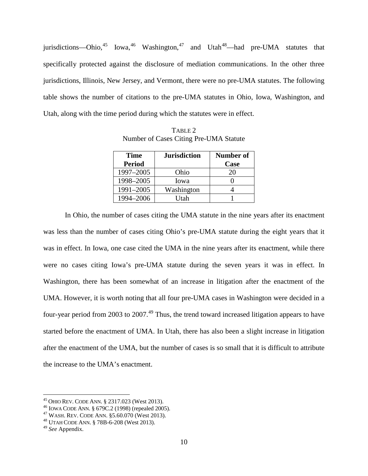jurisdictions—Ohio,<sup>[45](#page-9-0)</sup> Iowa,<sup>[46](#page-9-1)</sup> Washington,<sup>[47](#page-9-2)</sup> and Utah<sup>[48](#page-9-3)</sup>—had pre-UMA statutes that specifically protected against the disclosure of mediation communications. In the other three jurisdictions, Illinois, New Jersey, and Vermont, there were no pre-UMA statutes. The following table shows the number of citations to the pre-UMA statutes in Ohio, Iowa, Washington, and Utah, along with the time period during which the statutes were in effect.

| <b>Time</b>   | <b>Jurisdiction</b> | Number of |
|---------------|---------------------|-----------|
| <b>Period</b> |                     | Case      |
| 1997-2005     | Ohio                | 20        |
| 1998-2005     | Iowa                |           |
| 1991-2005     | Washington          |           |
| 1994-2006     | Utah                |           |

TABLE 2 Number of Cases Citing Pre-UMA Statute

In Ohio, the number of cases citing the UMA statute in the nine years after its enactment was less than the number of cases citing Ohio's pre-UMA statute during the eight years that it was in effect. In Iowa, one case cited the UMA in the nine years after its enactment, while there were no cases citing Iowa's pre-UMA statute during the seven years it was in effect. In Washington, there has been somewhat of an increase in litigation after the enactment of the UMA. However, it is worth noting that all four pre-UMA cases in Washington were decided in a four-year period from 2003 to 2007.<sup>[49](#page-9-4)</sup> Thus, the trend toward increased litigation appears to have started before the enactment of UMA. In Utah, there has also been a slight increase in litigation after the enactment of the UMA, but the number of cases is so small that it is difficult to attribute the increase to the UMA's enactment.

<span id="page-9-1"></span><span id="page-9-0"></span><sup>&</sup>lt;sup>45</sup> OHIO REV. CODE ANN. § 2317.023 (West 2013).<br><sup>46</sup> IOWA CODE ANN. § 679C.2 (1998) (repealed 2005).<br><sup>47</sup> WASH. REV. CODE ANN. §5.60.070 (West 2013).<br><sup>48</sup> UTAH CODE ANN. § 78B-6-208 (West 2013).

<span id="page-9-2"></span>

<span id="page-9-4"></span><span id="page-9-3"></span><sup>49</sup> *See* Appendix.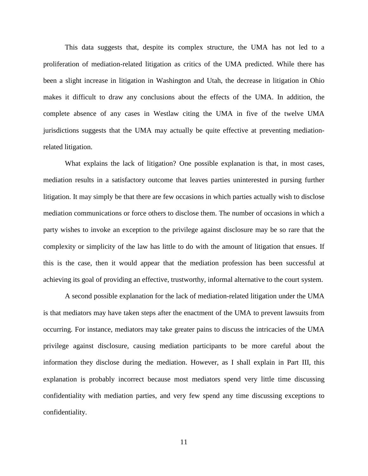This data suggests that, despite its complex structure, the UMA has not led to a proliferation of mediation-related litigation as critics of the UMA predicted. While there has been a slight increase in litigation in Washington and Utah, the decrease in litigation in Ohio makes it difficult to draw any conclusions about the effects of the UMA. In addition, the complete absence of any cases in Westlaw citing the UMA in five of the twelve UMA jurisdictions suggests that the UMA may actually be quite effective at preventing mediationrelated litigation.

What explains the lack of litigation? One possible explanation is that, in most cases, mediation results in a satisfactory outcome that leaves parties uninterested in pursing further litigation. It may simply be that there are few occasions in which parties actually wish to disclose mediation communications or force others to disclose them. The number of occasions in which a party wishes to invoke an exception to the privilege against disclosure may be so rare that the complexity or simplicity of the law has little to do with the amount of litigation that ensues. If this is the case, then it would appear that the mediation profession has been successful at achieving its goal of providing an effective, trustworthy, informal alternative to the court system.

A second possible explanation for the lack of mediation-related litigation under the UMA is that mediators may have taken steps after the enactment of the UMA to prevent lawsuits from occurring. For instance, mediators may take greater pains to discuss the intricacies of the UMA privilege against disclosure, causing mediation participants to be more careful about the information they disclose during the mediation. However, as I shall explain in Part III, this explanation is probably incorrect because most mediators spend very little time discussing confidentiality with mediation parties, and very few spend any time discussing exceptions to confidentiality.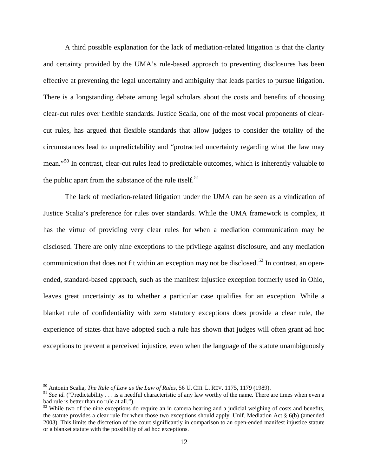A third possible explanation for the lack of mediation-related litigation is that the clarity and certainty provided by the UMA's rule-based approach to preventing disclosures has been effective at preventing the legal uncertainty and ambiguity that leads parties to pursue litigation. There is a longstanding debate among legal scholars about the costs and benefits of choosing clear-cut rules over flexible standards. Justice Scalia, one of the most vocal proponents of clearcut rules, has argued that flexible standards that allow judges to consider the totality of the circumstances lead to unpredictability and "protracted uncertainty regarding what the law may mean."<sup>[50](#page-11-0)</sup> In contrast, clear-cut rules lead to predictable outcomes, which is inherently valuable to the public apart from the substance of the rule itself.<sup>[51](#page-11-1)</sup>

The lack of mediation-related litigation under the UMA can be seen as a vindication of Justice Scalia's preference for rules over standards. While the UMA framework is complex, it has the virtue of providing very clear rules for when a mediation communication may be disclosed. There are only nine exceptions to the privilege against disclosure, and any mediation communication that does not fit within an exception may not be disclosed.<sup>[52](#page-11-2)</sup> In contrast, an openended, standard-based approach, such as the manifest injustice exception formerly used in Ohio, leaves great uncertainty as to whether a particular case qualifies for an exception. While a blanket rule of confidentiality with zero statutory exceptions does provide a clear rule, the experience of states that have adopted such a rule has shown that judges will often grant ad hoc exceptions to prevent a perceived injustice, even when the language of the statute unambiguously

<span id="page-11-1"></span><span id="page-11-0"></span>

<sup>&</sup>lt;sup>50</sup> Antonin Scalia, *The Rule of Law as the Law of Rules*, 56 U. CHI. L. REV. 1175, 1179 (1989).<br><sup>51</sup> See id. ("Predictability . . . is a needful characteristic of any law worthy of the name. There are times when even a bad rule is better than no rule at all.").

<span id="page-11-2"></span> $52$  While two of the nine exceptions do require an in camera hearing and a judicial weighing of costs and benefits, the statute provides a clear rule for when those two exceptions should apply. Unif. Mediation Act § 6(b) (amended 2003). This limits the discretion of the court significantly in comparison to an open-ended manifest injustice statute or a blanket statute with the possibility of ad hoc exceptions.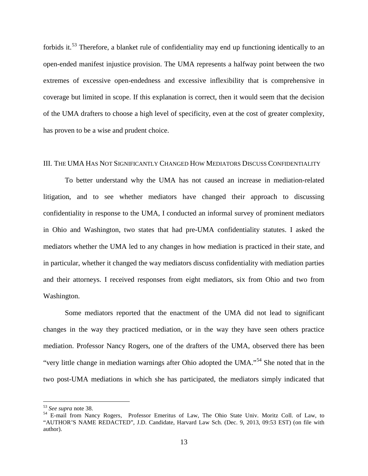forbids it.<sup>[53](#page-12-0)</sup> Therefore, a blanket rule of confidentiality may end up functioning identically to an open-ended manifest injustice provision. The UMA represents a halfway point between the two extremes of excessive open-endedness and excessive inflexibility that is comprehensive in coverage but limited in scope. If this explanation is correct, then it would seem that the decision of the UMA drafters to choose a high level of specificity, even at the cost of greater complexity, has proven to be a wise and prudent choice.

### III. THE UMA HAS NOT SIGNIFICANTLY CHANGED HOW MEDIATORS DISCUSS CONFIDENTIALITY

To better understand why the UMA has not caused an increase in mediation-related litigation, and to see whether mediators have changed their approach to discussing confidentiality in response to the UMA, I conducted an informal survey of prominent mediators in Ohio and Washington, two states that had pre-UMA confidentiality statutes. I asked the mediators whether the UMA led to any changes in how mediation is practiced in their state, and in particular, whether it changed the way mediators discuss confidentiality with mediation parties and their attorneys. I received responses from eight mediators, six from Ohio and two from Washington.

Some mediators reported that the enactment of the UMA did not lead to significant changes in the way they practiced mediation, or in the way they have seen others practice mediation. Professor Nancy Rogers, one of the drafters of the UMA, observed there has been "very little change in mediation warnings after Ohio adopted the UMA."[54](#page-12-1) She noted that in the two post-UMA mediations in which she has participated, the mediators simply indicated that

<span id="page-12-1"></span><span id="page-12-0"></span><sup>53</sup> *See supra* note 38. <sup>54</sup> E-mail from Nancy Rogers, Professor Emeritus of Law, The Ohio State Univ. Moritz Coll. of Law, to "AUTHOR'S NAME REDACTED", J.D. Candidate, Harvard Law Sch. (Dec. 9, 2013, 09:53 EST) (on file with author).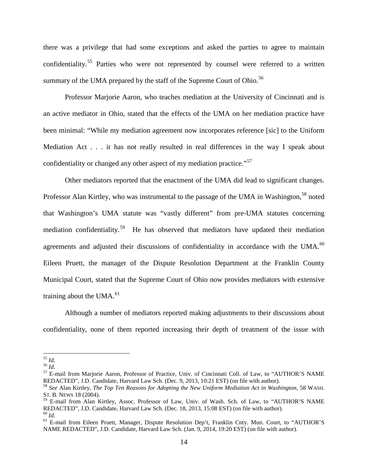there was a privilege that had some exceptions and asked the parties to agree to maintain confidentiality.<sup>[55](#page-13-0)</sup> Parties who were not represented by counsel were referred to a written summary of the UMA prepared by the staff of the Supreme Court of Ohio.<sup>[56](#page-13-1)</sup>

Professor Marjorie Aaron, who teaches mediation at the University of Cincinnati and is an active mediator in Ohio, stated that the effects of the UMA on her mediation practice have been minimal: "While my mediation agreement now incorporates reference [sic] to the Uniform Mediation Act . . . it has not really resulted in real differences in the way I speak about confidentiality or changed any other aspect of my mediation practice."<sup>[57](#page-13-2)</sup>

Other mediators reported that the enactment of the UMA did lead to significant changes. Professor Alan Kirtley, who was instrumental to the passage of the UMA in Washington,<sup>[58](#page-13-3)</sup> noted that Washington's UMA statute was "vastly different" from pre-UMA statutes concerning mediation confidentiality.<sup>59</sup> He has observed that mediators have updated their mediation agreements and adjusted their discussions of confidentiality in accordance with the UMA.<sup>[60](#page-13-5)</sup> Eileen Pruett, the manager of the Dispute Resolution Department at the Franklin County Municipal Court, stated that the Supreme Court of Ohio now provides mediators with extensive training about the UMA. $^{61}$  $^{61}$  $^{61}$ 

Although a number of mediators reported making adjustments to their discussions about confidentiality, none of them reported increasing their depth of treatment of the issue with

<span id="page-13-2"></span>

<span id="page-13-1"></span><span id="page-13-0"></span><sup>&</sup>lt;sup>55</sup> *Id.*<br><sup>56</sup> *Id.*<br><sup>57</sup> E-mail from Marjorie Aaron, Professor of Practice, Univ. of Cincinnati Coll. of Law, to "AUTHOR'S NAME REDACTED", J.D. Candidate, Harvard Law Sch. (Dec. 9, 2013, 10:21 EST) (on file with author).

<span id="page-13-3"></span><sup>58</sup> *See* Alan Kirtley, *The Top Ten Reasons for Adopting the New Uniform Mediation Act in Washington*, 58 WASH. ST. B. NEWS 18 (2004).

<span id="page-13-4"></span><sup>&</sup>lt;sup>59</sup> E-mail from Alan Kirtley, Assoc. Professor of Law, Univ. of Wash. Sch. of Law, to "AUTHOR'S NAME REDACTED", J.D. Candidate, Harvard Law Sch. (Dec. 18, 2013, 15:08 EST) (on file with author).

<span id="page-13-6"></span><span id="page-13-5"></span><sup>&</sup>lt;sup>60</sup> Id.<br><sup>61</sup> E-mail from Eileen Pruett, Manager, Dispute Resolution Dep't, Franklin Cnty. Mun. Court, to "AUTHOR'S NAME REDACTED", J.D. Candidate, Harvard Law Sch. (Jan. 9, 2014, 19:20 EST) (on file with author).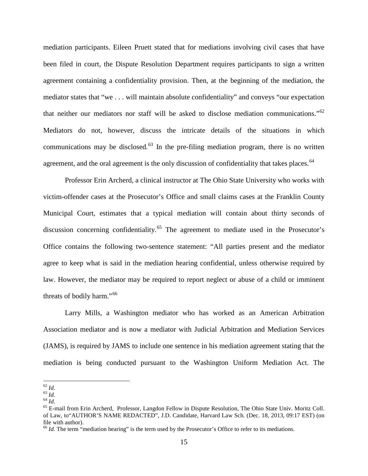mediation participants. Eileen Pruett stated that for mediations involving civil cases that have been filed in court, the Dispute Resolution Department requires participants to sign a written agreement containing a confidentiality provision. Then, at the beginning of the mediation, the mediator states that "we . . . will maintain absolute confidentiality" and conveys "our expectation that neither our mediators nor staff will be asked to disclose mediation communications."[62](#page-14-0) Mediators do not, however, discuss the intricate details of the situations in which communications may be disclosed.<sup>[63](#page-14-1)</sup> In the pre-filing mediation program, there is no written agreement, and the oral agreement is the only discussion of confidentiality that takes places.  $64$ 

Professor Erin Archerd, a clinical instructor at The Ohio State University who works with victim-offender cases at the Prosecutor's Office and small claims cases at the Franklin County Municipal Court, estimates that a typical mediation will contain about thirty seconds of discussion concerning confidentiality.<sup>[65](#page-14-3)</sup> The agreement to mediate used in the Prosecutor's Office contains the following two-sentence statement: "All parties present and the mediator agree to keep what is said in the mediation hearing confidential, unless otherwise required by law. However, the mediator may be required to report neglect or abuse of a child or imminent threats of bodily harm."<sup>[66](#page-14-4)</sup>

Larry Mills, a Washington mediator who has worked as an American Arbitration Association mediator and is now a mediator with Judicial Arbitration and Mediation Services (JAMS), is required by JAMS to include one sentence in his mediation agreement stating that the mediation is being conducted pursuant to the Washington Uniform Mediation Act. The

<span id="page-14-1"></span>

<span id="page-14-3"></span><span id="page-14-2"></span>

<span id="page-14-0"></span><sup>&</sup>lt;sup>62</sup> *Id.*<br><sup>63</sup> *Id.*<br><sup>64</sup> *Id.* <sup>64</sup> *Id.* <sup>64</sup> *Id.* 64 *Id.* 65 E-mail from Erin Archerd, Professor, Langdon Fellow in Dispute Resolution, The Ohio State Univ. Moritz Coll. of Law, to"AUTHOR'S NAME REDACTED", J.D. Candidate, Harvard Law Sch. (Dec. 18, 2013, 09:17 EST) (on file with author).

<span id="page-14-4"></span><sup>&</sup>lt;sup>66</sup> *Id*. The term "mediation hearing" is the term used by the Prosecutor's Office to refer to its mediations.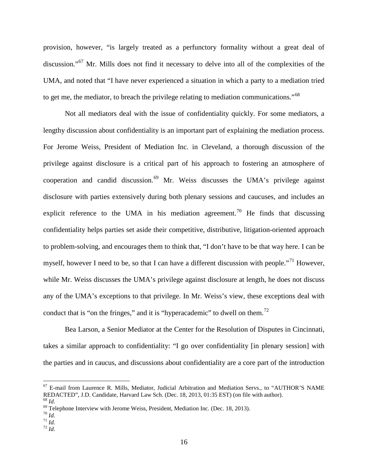provision, however, "is largely treated as a perfunctory formality without a great deal of discussion."<sup>[67](#page-15-0)</sup> Mr. Mills does not find it necessary to delve into all of the complexities of the UMA, and noted that "I have never experienced a situation in which a party to a mediation tried to get me, the mediator, to breach the privilege relating to mediation communications."<sup>[68](#page-15-1)</sup>

Not all mediators deal with the issue of confidentiality quickly. For some mediators, a lengthy discussion about confidentiality is an important part of explaining the mediation process. For Jerome Weiss, President of Mediation Inc. in Cleveland, a thorough discussion of the privilege against disclosure is a critical part of his approach to fostering an atmosphere of cooperation and candid discussion.[69](#page-15-2) Mr. Weiss discusses the UMA's privilege against disclosure with parties extensively during both plenary sessions and caucuses, and includes an explicit reference to the UMA in his mediation agreement.<sup>[70](#page-15-3)</sup> He finds that discussing confidentiality helps parties set aside their competitive, distributive, litigation-oriented approach to problem-solving, and encourages them to think that, "I don't have to be that way here. I can be myself, however I need to be, so that I can have a different discussion with people."<sup>[71](#page-15-4)</sup> However, while Mr. Weiss discusses the UMA's privilege against disclosure at length, he does not discuss any of the UMA's exceptions to that privilege. In Mr. Weiss's view, these exceptions deal with conduct that is "on the fringes," and it is "hyperacademic" to dwell on them.<sup>[72](#page-15-5)</sup>

Bea Larson, a Senior Mediator at the Center for the Resolution of Disputes in Cincinnati, takes a similar approach to confidentiality: "I go over confidentiality [in plenary session] with the parties and in caucus, and discussions about confidentiality are a core part of the introduction

<span id="page-15-0"></span> $^{67}$  E-mail from Laurence R. Mills, Mediator, Judicial Arbitration and Mediation Servs., to "AUTHOR'S NAME REDACTED", J.D. Candidate, Harvard Law Sch. (Dec. 18, 2013, 01:35 EST) (on file with author).

<span id="page-15-2"></span>

<span id="page-15-1"></span><sup>&</sup>lt;sup>68</sup> *Id.*<br>
<sup>69</sup> Telephone Interview with Jerome Weiss, President, Mediation Inc. (Dec. 18, 2013).<br>
<sup>70</sup> *Id.*<br>
<sup>71</sup> *Id.*<br>
<sup>72</sup> *Id.* 

<span id="page-15-4"></span><span id="page-15-3"></span>

<span id="page-15-5"></span>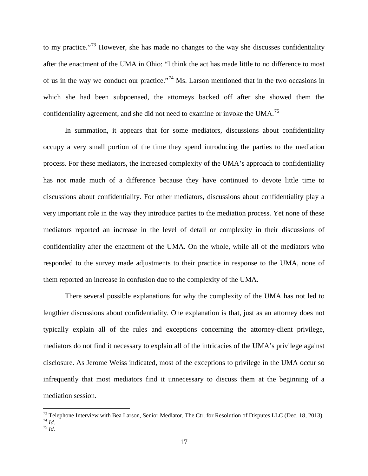to my practice."<sup>[73](#page-16-0)</sup> However, she has made no changes to the way she discusses confidentiality after the enactment of the UMA in Ohio: "I think the act has made little to no difference to most of us in the way we conduct our practice."[74](#page-16-1) Ms. Larson mentioned that in the two occasions in which she had been subpoenaed, the attorneys backed off after she showed them the confidentiality agreement, and she did not need to examine or invoke the UMA.<sup>[75](#page-16-2)</sup>

In summation, it appears that for some mediators, discussions about confidentiality occupy a very small portion of the time they spend introducing the parties to the mediation process. For these mediators, the increased complexity of the UMA's approach to confidentiality has not made much of a difference because they have continued to devote little time to discussions about confidentiality. For other mediators, discussions about confidentiality play a very important role in the way they introduce parties to the mediation process. Yet none of these mediators reported an increase in the level of detail or complexity in their discussions of confidentiality after the enactment of the UMA. On the whole, while all of the mediators who responded to the survey made adjustments to their practice in response to the UMA, none of them reported an increase in confusion due to the complexity of the UMA.

There several possible explanations for why the complexity of the UMA has not led to lengthier discussions about confidentiality. One explanation is that, just as an attorney does not typically explain all of the rules and exceptions concerning the attorney-client privilege, mediators do not find it necessary to explain all of the intricacies of the UMA's privilege against disclosure. As Jerome Weiss indicated, most of the exceptions to privilege in the UMA occur so infrequently that most mediators find it unnecessary to discuss them at the beginning of a mediation session.

<span id="page-16-2"></span><span id="page-16-1"></span><span id="page-16-0"></span><sup>&</sup>lt;sup>73</sup> Telephone Interview with Bea Larson, Senior Mediator, The Ctr. for Resolution of Disputes LLC (Dec. 18, 2013). <sup>74</sup> *Id.* <sup>75</sup> *Id*.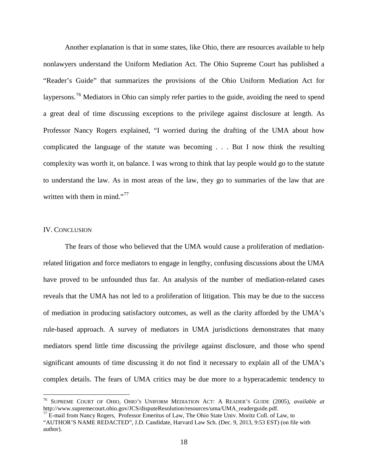Another explanation is that in some states, like Ohio, there are resources available to help nonlawyers understand the Uniform Mediation Act. The Ohio Supreme Court has published a "Reader's Guide" that summarizes the provisions of the Ohio Uniform Mediation Act for laypersons.<sup>[76](#page-17-0)</sup> Mediators in Ohio can simply refer parties to the guide, avoiding the need to spend a great deal of time discussing exceptions to the privilege against disclosure at length. As Professor Nancy Rogers explained, "I worried during the drafting of the UMA about how complicated the language of the statute was becoming . . . But I now think the resulting complexity was worth it, on balance. I was wrong to think that lay people would go to the statute to understand the law. As in most areas of the law, they go to summaries of the law that are written with them in mind."<sup>[77](#page-17-1)</sup>

#### IV. CONCLUSION

The fears of those who believed that the UMA would cause a proliferation of mediationrelated litigation and force mediators to engage in lengthy, confusing discussions about the UMA have proved to be unfounded thus far. An analysis of the number of mediation-related cases reveals that the UMA has not led to a proliferation of litigation. This may be due to the success of mediation in producing satisfactory outcomes, as well as the clarity afforded by the UMA's rule-based approach. A survey of mediators in UMA jurisdictions demonstrates that many mediators spend little time discussing the privilege against disclosure, and those who spend significant amounts of time discussing it do not find it necessary to explain all of the UMA's complex details. The fears of UMA critics may be due more to a hyperacademic tendency to

<span id="page-17-0"></span> <sup>76</sup> SUPREME COURT OF OHIO, OHIO'S UNIFORM MEDIATION ACT: <sup>A</sup> READER'S GUIDE (2005), *available at*

<span id="page-17-1"></span> $\frac{77}{2}$  E-mail from Nancy Rogers, Professor Emeritus of Law, The Ohio State Univ. Moritz Coll. of Law, to "AUTHOR'S NAME REDACTED", J.D. Candidate, Harvard Law Sch. (Dec. 9, 2013, 9:53 EST) (on file with author).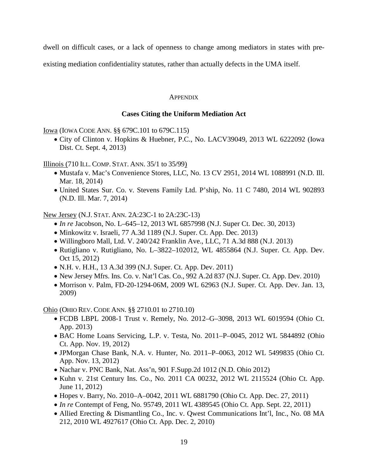dwell on difficult cases, or a lack of openness to change among mediators in states with pre-

existing mediation confidentiality statutes, rather than actually defects in the UMA itself.

## **APPENDIX**

# **Cases Citing the Uniform Mediation Act**

Iowa (IOWA CODE ANN. §§ 679C.101 to 679C.115)

• City of Clinton v. Hopkins & Huebner, P.C., No. LACV39049, 2013 WL 6222092 (Iowa Dist. Ct. Sept. 4, 2013)

Illinois (710 ILL. COMP. STAT. ANN. 35/1 to 35/99)

- Mustafa v. Mac's Convenience Stores, LLC, No. 13 CV 2951, 2014 WL 1088991 (N.D. Ill. Mar. 18, 2014)
- United States Sur. Co. v. Stevens Family Ltd. P'ship, No. 11 C 7480, 2014 WL 902893 (N.D. Ill. Mar. 7, 2014)

New Jersey (N.J. STAT. ANN. 2A:23C-1 to 2A:23C-13)

- *In re* Jacobson, No. L–645–12, 2013 WL 6857998 (N.J. Super Ct. Dec. 30, 2013)
- Minkowitz v. Israeli, 77 A.3d 1189 (N.J. Super. Ct. App. Dec. 2013)
- Willingboro Mall, Ltd. V. 240/242 Franklin Ave., LLC, 71 A.3d 888 (N.J. 2013)
- Rutigliano v. Rutigliano, No. L–3822–102012, WL 4855864 (N.J. Super. Ct. App. Dev. Oct 15, 2012)
- N.H. v. H.H., 13 A.3d 399 (N.J. Super. Ct. App. Dev. 2011)
- New Jersey Mfrs. Ins. Co. v. Nat'l Cas. Co., 992 A.2d 837 (N.J. Super. Ct. App. Dev. 2010)
- Morrison v. Palm, FD-20-1294-06M, 2009 WL 62963 (N.J. Super. Ct. App. Dev. Jan. 13, 2009)

Ohio (OHIO REV. CODE ANN. §§ 2710.01 to 2710.10)

- FCDB LBPL 2008-1 Trust v. Remely, No. 2012–G–3098, 2013 WL 6019594 (Ohio Ct. App. 2013)
- BAC Home Loans Servicing, L.P. v. Testa, No. 2011–P–0045, 2012 WL 5844892 (Ohio Ct. App. Nov. 19, 2012)
- JPMorgan Chase Bank, N.A. v. Hunter, No. 2011–P–0063, 2012 WL 5499835 (Ohio Ct. App. Nov. 13, 2012)
- Nachar v. PNC Bank, Nat. Ass'n, 901 F.Supp.2d 1012 (N.D. Ohio 2012)
- Kuhn v. 21st Century Ins. Co., No. 2011 CA 00232, 2012 WL 2115524 (Ohio Ct. App. June 11, 2012)
- Hopes v. Barry, No. 2010–A–0042, 2011 WL 6881790 (Ohio Ct. App. Dec. 27, 2011)
- *In re* Contempt of Feng, No. 95749, 2011 WL 4389545 (Ohio Ct. App. Sept. 22, 2011)
- Allied Erecting & Dismantling Co., Inc. v. Owest Communications Int'l, Inc., No. 08 MA 212, 2010 WL 4927617 (Ohio Ct. App. Dec. 2, 2010)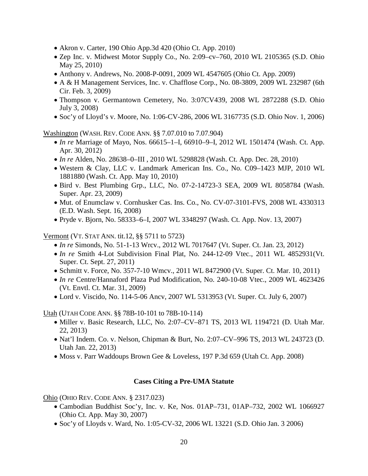- Akron v. Carter, 190 Ohio App.3d 420 (Ohio Ct. App. 2010)
- Zep Inc. v. Midwest Motor Supply Co., No. 2:09–cv–760, 2010 WL 2105365 (S.D. Ohio May 25, 2010)
- Anthony v. Andrews, No. 2008-P-0091, 2009 WL 4547605 (Ohio Ct. App. 2009)
- A & H Management Services, Inc. v. Chafflose Corp., No. 08-3809, 2009 WL 232987 (6th Cir. Feb. 3, 2009)
- Thompson v. Germantown Cemetery, No. 3:07CV439, 2008 WL 2872288 (S.D. Ohio July 3, 2008)
- Soc'y of Lloyd's v. Moore, No. 1:06-CV-286, 2006 WL 3167735 (S.D. Ohio Nov. 1, 2006)

Washington (WASH. REV. CODE ANN. §§ 7.07.010 to 7.07.904)

- *In re* Marriage of Mayo, Nos. 66615–1–I, 66910–9–I, 2012 WL 1501474 (Wash. Ct. App. Apr. 30, 2012)
- *In re* Alden, No. 28638–0–III , 2010 WL 5298828 (Wash. Ct. App. Dec. 28, 2010)
- Western & Clay, LLC v. Landmark American Ins. Co., No. C09–1423 MJP, 2010 WL 1881880 (Wash. Ct. App. May 10, 2010)
- Bird v. Best Plumbing Grp., LLC, No. 07-2-14723-3 SEA, 2009 WL 8058784 (Wash. Super. Apr. 23, 2009)
- Mut. of Enumclaw v. Cornhusker Cas. Ins. Co., No. CV-07-3101-FVS, 2008 WL 4330313 (E.D. Wash. Sept. 16, 2008)
- Pryde v. Bjorn, No. 58333–6–I, 2007 WL 3348297 (Wash. Ct. App. Nov. 13, 2007)

Vermont (VT. STAT ANN. tit.12, §§ 5711 to 5723)

- *In re* Simonds, No. 51-1-13 Wrcv., 2012 WL 7017647 (Vt. Super. Ct. Jan. 23, 2012)
- *In re* Smith 4-Lot Subdivision Final Plat, No. 244-12-09 Vtec., 2011 WL 4852931(Vt. Super. Ct. Sept. 27, 2011)
- Schmitt v. Force, No. 357-7-10 Wmcv., 2011 WL 8472900 (Vt. Super. Ct. Mar. 10, 2011)
- *In re* Centre/Hannaford Plaza Pud Modification, No. 240-10-08 Vtec., 2009 WL 4623426 (Vt. Envtl. Ct. Mar. 31, 2009)
- Lord v. Viscido, No. 114-5-06 Ancv, 2007 WL 5313953 (Vt. Super. Ct. July 6, 2007)

Utah (UTAH CODE ANN. §§ 78B-10-101 to 78B-10-114)

- Miller v. Basic Research, LLC, No. 2:07–CV–871 TS, 2013 WL 1194721 (D. Utah Mar. 22, 2013)
- Nat'l Indem. Co. v. Nelson, Chipman & Burt, No. 2:07–CV–996 TS, 2013 WL 243723 (D. Utah Jan. 22, 2013)
- Moss v. Parr Waddoups Brown Gee & Loveless, 197 P.3d 659 (Utah Ct. App. 2008)

### **Cases Citing a Pre-UMA Statute**

Ohio (OHIO REV. CODE ANN. § 2317.023)

- Cambodian Buddhist Soc'y, Inc. v. Ke, Nos. 01AP–731, 01AP–732, 2002 WL 1066927 (Ohio Ct. App. May 30, 2007)
- Soc'y of Lloyds v. Ward, No. 1:05-CV-32, 2006 WL 13221 (S.D. Ohio Jan. 3 2006)